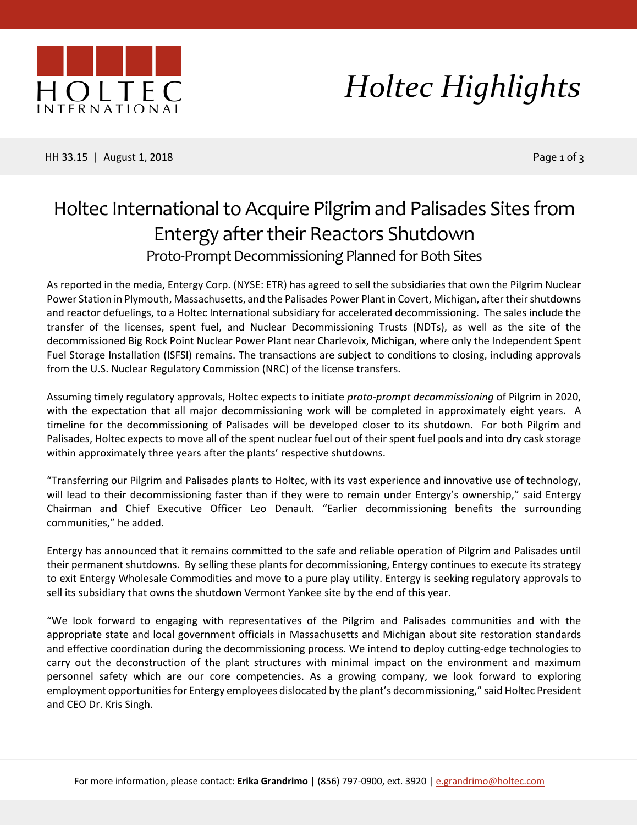

# *Holtec Highlights*

HH 33.15 | August 1, 2018 Page 1 of 3

### Holtec International to Acquire Pilgrim and Palisades Sites from Entergy after their Reactors Shutdown Proto-Prompt Decommissioning Planned for Both Sites

As reported in the media, Entergy Corp. (NYSE: ETR) has agreed to sell the subsidiaries that own the Pilgrim Nuclear Power Station in Plymouth, Massachusetts, and the Palisades Power Plant in Covert, Michigan, after their shutdowns and reactor defuelings, to a Holtec International subsidiary for accelerated decommissioning. The sales include the transfer of the licenses, spent fuel, and Nuclear Decommissioning Trusts (NDTs), as well as the site of the decommissioned Big Rock Point Nuclear Power Plant near Charlevoix, Michigan, where only the Independent Spent Fuel Storage Installation (ISFSI) remains. The transactions are subject to conditions to closing, including approvals from the U.S. Nuclear Regulatory Commission (NRC) of the license transfers.

Assuming timely regulatory approvals, Holtec expects to initiate *proto-prompt decommissioning* of Pilgrim in 2020, with the expectation that all major decommissioning work will be completed in approximately eight years. A timeline for the decommissioning of Palisades will be developed closer to its shutdown. For both Pilgrim and Palisades, Holtec expects to move all of the spent nuclear fuel out of their spent fuel pools and into dry cask storage within approximately three years after the plants' respective shutdowns.

"Transferring our Pilgrim and Palisades plants to Holtec, with its vast experience and innovative use of technology, will lead to their decommissioning faster than if they were to remain under Entergy's ownership," said Entergy Chairman and Chief Executive Officer Leo Denault. "Earlier decommissioning benefits the surrounding communities," he added.

Entergy has announced that it remains committed to the safe and reliable operation of Pilgrim and Palisades until their permanent shutdowns. By selling these plants for decommissioning, Entergy continues to execute its strategy to exit Entergy Wholesale Commodities and move to a pure play utility. Entergy is seeking regulatory approvals to sell its subsidiary that owns the shutdown Vermont Yankee site by the end of this year.

"We look forward to engaging with representatives of the Pilgrim and Palisades communities and with the appropriate state and local government officials in Massachusetts and Michigan about site restoration standards and effective coordination during the decommissioning process. We intend to deploy cutting-edge technologies to carry out the deconstruction of the plant structures with minimal impact on the environment and maximum personnel safety which are our core competencies. As a growing company, we look forward to exploring employment opportunities for Entergy employees dislocated by the plant's decommissioning," said Holtec President and CEO Dr. Kris Singh.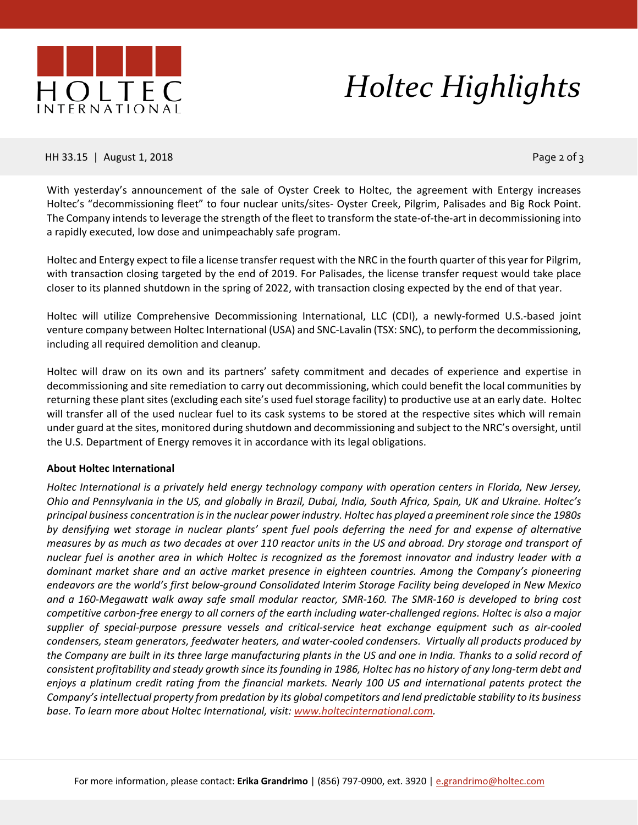

## *Holtec Highlights*

HH 33.15 | August 1, 2018 Page 2 of 3

With yesterday's announcement of the sale of Oyster Creek to Holtec, the agreement with Entergy increases Holtec's "decommissioning fleet" to four nuclear units/sites- Oyster Creek, Pilgrim, Palisades and Big Rock Point. The Company intends to leverage the strength of the fleet to transform the state-of-the-art in decommissioning into a rapidly executed, low dose and unimpeachably safe program.

Holtec and Entergy expect to file a license transfer request with the NRC in the fourth quarter of this year for Pilgrim, with transaction closing targeted by the end of 2019. For Palisades, the license transfer request would take place closer to its planned shutdown in the spring of 2022, with transaction closing expected by the end of that year.

Holtec will utilize Comprehensive Decommissioning International, LLC (CDI), a newly-formed U.S.-based joint venture company between Holtec International (USA) and SNC-Lavalin (TSX: SNC), to perform the decommissioning, including all required demolition and cleanup.

Holtec will draw on its own and its partners' safety commitment and decades of experience and expertise in decommissioning and site remediation to carry out decommissioning, which could benefit the local communities by returning these plant sites (excluding each site's used fuel storage facility) to productive use at an early date. Holtec will transfer all of the used nuclear fuel to its cask systems to be stored at the respective sites which will remain under guard at the sites, monitored during shutdown and decommissioning and subject to the NRC's oversight, until the U.S. Department of Energy removes it in accordance with its legal obligations.

### **About Holtec International**

*Holtec International is a privately held energy technology company with operation centers in Florida, New Jersey, Ohio and Pennsylvania in the US, and globally in Brazil, Dubai, India, South Africa, Spain, UK and Ukraine. Holtec's principal business concentration is in the nuclear power industry. Holtec has played a preeminent role since the 1980s by densifying wet storage in nuclear plants' spent fuel pools deferring the need for and expense of alternative measures by as much as two decades at over 110 reactor units in the US and abroad. Dry storage and transport of nuclear fuel is another area in which Holtec is recognized as the foremost innovator and industry leader with a dominant market share and an active market presence in eighteen countries. Among the Company's pioneering endeavors are the world's first below-ground Consolidated Interim Storage Facility being developed in New Mexico and a 160-Megawatt walk away safe small modular reactor, SMR-160. The SMR-160 is developed to bring cost competitive carbon-free energy to all corners of the earth including water-challenged regions. Holtec is also a major supplier of special-purpose pressure vessels and critical-service heat exchange equipment such as air-cooled condensers, steam generators, feedwater heaters, and water-cooled condensers. Virtually all products produced by*  the Company are built in its three large manufacturing plants in the US and one in India. Thanks to a solid record of *consistent profitability and steady growth since its founding in 1986, Holtec has no history of any long-term debt and*  enjoys a platinum credit rating from the financial markets. Nearly 100 US and international patents protect the *Company's intellectual property from predation by its global competitors and lend predictable stability to its business base. To learn more about Holtec International, visit: [www.holtecinternational.com.](https://na01.safelinks.protection.outlook.com/?url=http%253A%252F%252Fwww.holtecinternational.com&data=02%257C01%257Cakatell%2540entergy.com%257C3df6470fb4b14a1fe22508d5db910e48%257Ce0c134696a2d4ac3835b8ec9ed03c9a7%257C0%257C0%257C636656338417302279&sdata=oBeqMFZ7jW2whM%252FQ4XBXTq66QbamWUv41G7ydma7Co4%253D&reserved=0)*